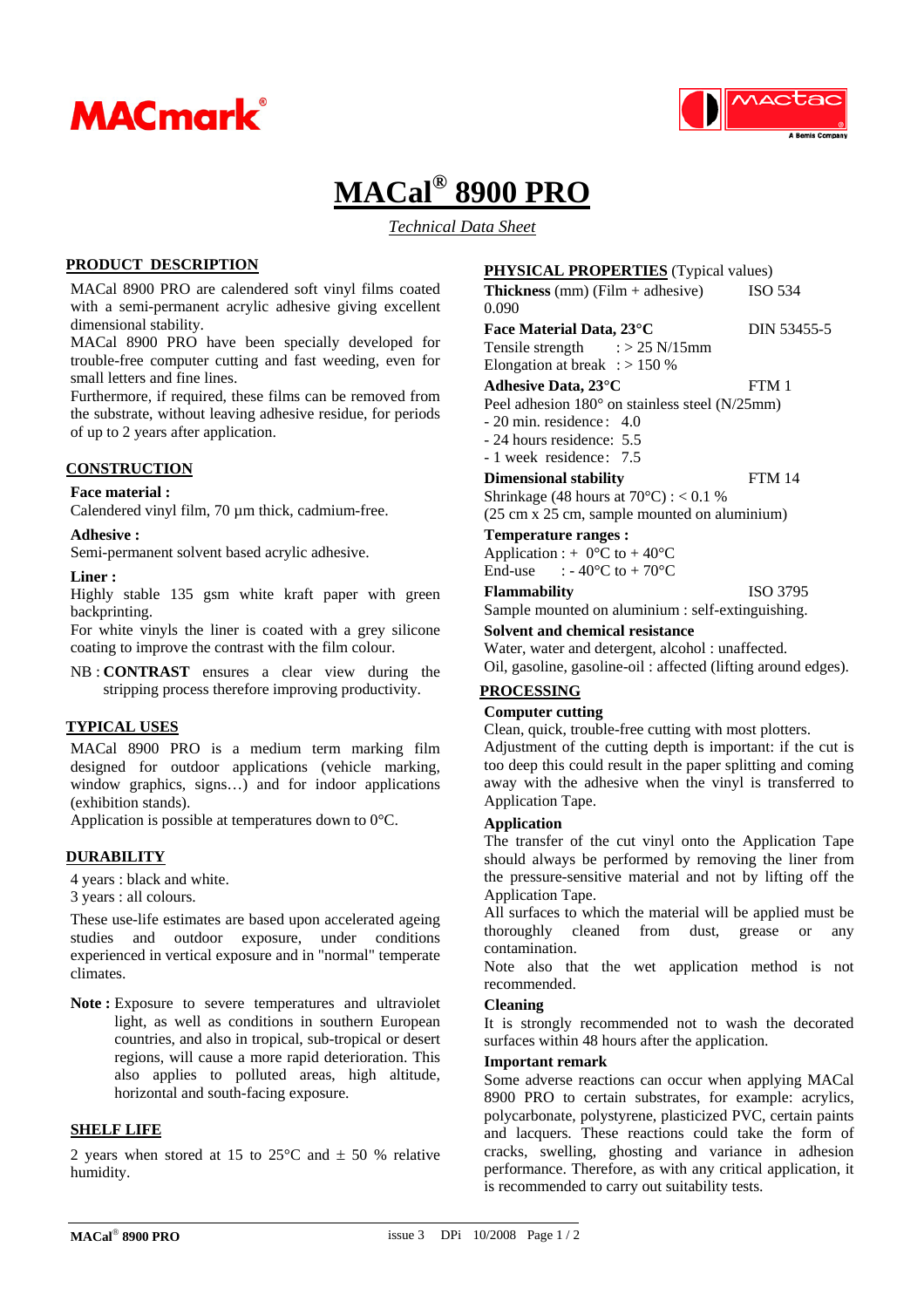



## **MACal® 8900 PRO**

*Technical Data Sheet*

#### **PRODUCT DESCRIPTION**

MACal 8900 PRO are calendered soft vinyl films coated with a semi-permanent acrylic adhesive giving excellent dimensional stability.

MACal 8900 PRO have been specially developed for trouble-free computer cutting and fast weeding, even for small letters and fine lines.

Furthermore, if required, these films can be removed from the substrate, without leaving adhesive residue, for periods of up to 2 years after application.

#### **CONSTRUCTION**

#### **Face material :**

Calendered vinyl film, 70 µm thick, cadmium-free.

#### **Adhesive :**

Semi-permanent solvent based acrylic adhesive.

#### **Liner :**

Highly stable 135 gsm white kraft paper with green backprinting.

For white vinyls the liner is coated with a grey silicone coating to improve the contrast with the film colour.

NB : **CONTRAST** ensures a clear view during the stripping process therefore improving productivity.

#### **TYPICAL USES**

MACal 8900 PRO is a medium term marking film designed for outdoor applications (vehicle marking, window graphics, signs…) and for indoor applications (exhibition stands).

Application is possible at temperatures down to 0°C.

#### **DURABILITY**

4 years : black and white.

3 years : all colours.

These use-life estimates are based upon accelerated ageing studies and outdoor exposure, under conditions experienced in vertical exposure and in "normal" temperate climates.

Note: Exposure to severe temperatures and ultraviolet light, as well as conditions in southern European countries, and also in tropical, sub-tropical or desert regions, will cause a more rapid deterioration. This also applies to polluted areas, high altitude, horizontal and south-facing exposure.

#### **SHELF LIFE**

2 years when stored at 15 to 25 $\degree$ C and  $\pm$  50 % relative humidity.

**PHYSICAL PROPERTIES** (Typical values)

**Thickness** (mm) (Film + adhesive) ISO 534 0.090

- Face Material Data, 23°C DIN 53455-5 Tensile strength  $\therefore$  > 25 N/15mm
- 

Elongation at break :  $> 150\%$ **Adhesive Data, 23°C** FTM 1 Peel adhesion 180° on stainless steel (N/25mm)

- 20 min. residence : 4.0

- 24 hours residence: 5.5

- 1 week residence: 7.5

### **Dimensional stability** FTM 14

Shrinkage (48 hours at  $70^{\circ}$ C) : < 0.1 % (25 cm x 25 cm, sample mounted on aluminium)

#### **Temperature ranges :**

Application : +  $0^{\circ}$ C to + 40°C End-use  $: -40^{\circ}$ C to  $+70^{\circ}$ C

#### **Flammability** ISO 3795

Sample mounted on aluminium : self-extinguishing.

#### **Solvent and chemical resistance**

Water, water and detergent, alcohol : unaffected. Oil, gasoline, gasoline-oil : affected (lifting around edges).

#### **PROCESSING**

#### **Computer cutting**

Clean, quick, trouble-free cutting with most plotters.

Adjustment of the cutting depth is important: if the cut is too deep this could result in the paper splitting and coming away with the adhesive when the vinyl is transferred to Application Tape.

#### **Application**

The transfer of the cut vinyl onto the Application Tape should always be performed by removing the liner from the pressure-sensitive material and not by lifting off the Application Tape.

All surfaces to which the material will be applied must be thoroughly cleaned from dust, grease or any contamination.

Note also that the wet application method is not recommended.

#### **Cleaning**

It is strongly recommended not to wash the decorated surfaces within 48 hours after the application.

#### **Important remark**

Some adverse reactions can occur when applying MACal 8900 PRO to certain substrates, for example: acrylics, polycarbonate, polystyrene, plasticized PVC, certain paints and lacquers. These reactions could take the form of cracks, swelling, ghosting and variance in adhesion performance. Therefore, as with any critical application, it is recommended to carry out suitability tests.